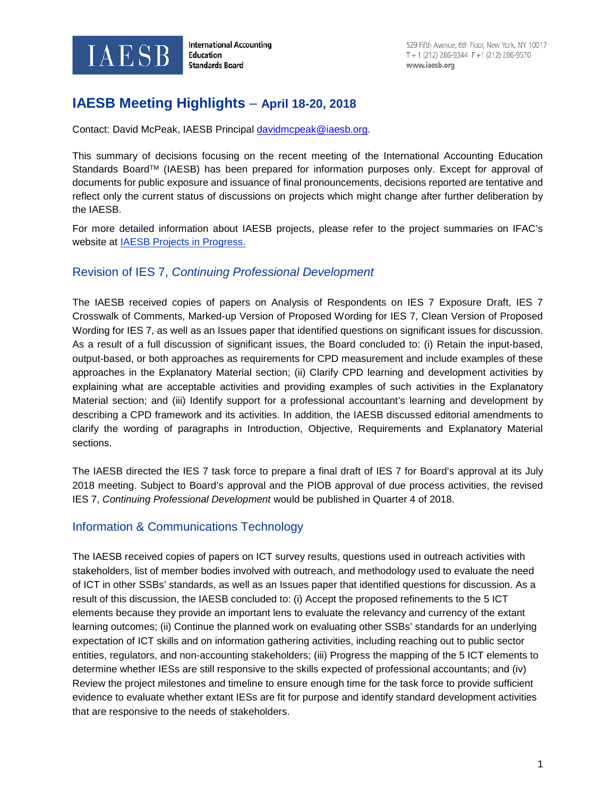

**International Accounting Education Standards Board** 

# **IAESB Meeting Highlights** – **April 18-20, 2018**

Contact: David McPeak, IAESB Principal [davidmcpeak@iaesb.org.](mailto:davidmcpeak@iaesb.org)

This summary of decisions focusing on the recent meeting of the International Accounting Education Standards Board™ (IAESB) has been prepared for information purposes only. Except for approval of documents for public exposure and issuance of final pronouncements, decisions reported are tentative and reflect only the current status of discussions on projects which might change after further deliberation by the IAESB.

For more detailed information about IAESB projects, please refer to the project summaries on IFAC's website at [IAESB Projects in Progress.](http://www.ifac.org/Education/Projects.php#InProgress)

### Revision of IES 7, *Continuing Professional Development*

The IAESB received copies of papers on Analysis of Respondents on IES 7 Exposure Draft, IES 7 Crosswalk of Comments, Marked-up Version of Proposed Wording for IES 7, Clean Version of Proposed Wording for IES 7, as well as an Issues paper that identified questions on significant issues for discussion. As a result of a full discussion of significant issues, the Board concluded to: (i) Retain the input-based, output-based, or both approaches as requirements for CPD measurement and include examples of these approaches in the Explanatory Material section; (ii) Clarify CPD learning and development activities by explaining what are acceptable activities and providing examples of such activities in the Explanatory Material section; and (iii) Identify support for a professional accountant's learning and development by describing a CPD framework and its activities. In addition, the IAESB discussed editorial amendments to clarify the wording of paragraphs in Introduction, Objective, Requirements and Explanatory Material sections.

The IAESB directed the IES 7 task force to prepare a final draft of IES 7 for Board's approval at its July 2018 meeting. Subject to Board's approval and the PIOB approval of due process activities, the revised IES 7, *Continuing Professional Development* would be published in Quarter 4 of 2018.

## Information & Communications Technology

The IAESB received copies of papers on ICT survey results, questions used in outreach activities with stakeholders, list of member bodies involved with outreach, and methodology used to evaluate the need of ICT in other SSBs' standards, as well as an Issues paper that identified questions for discussion. As a result of this discussion, the IAESB concluded to: (i) Accept the proposed refinements to the 5 ICT elements because they provide an important lens to evaluate the relevancy and currency of the extant learning outcomes; (ii) Continue the planned work on evaluating other SSBs' standards for an underlying expectation of ICT skills and on information gathering activities, including reaching out to public sector entities, regulators, and non-accounting stakeholders; (iii) Progress the mapping of the 5 ICT elements to determine whether IESs are still responsive to the skills expected of professional accountants; and (iv) Review the project milestones and timeline to ensure enough time for the task force to provide sufficient evidence to evaluate whether extant IESs are fit for purpose and identify standard development activities that are responsive to the needs of stakeholders.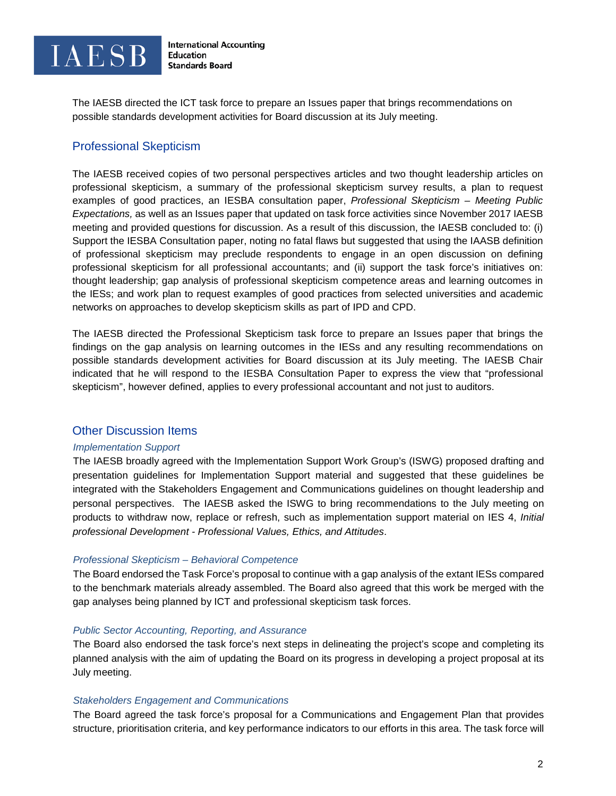

The IAESB directed the ICT task force to prepare an Issues paper that brings recommendations on possible standards development activities for Board discussion at its July meeting.

## Professional Skepticism

The IAESB received copies of two personal perspectives articles and two thought leadership articles on professional skepticism, a summary of the professional skepticism survey results, a plan to request examples of good practices, an IESBA consultation paper, *Professional Skepticism – Meeting Public Expectations,* as well as an Issues paper that updated on task force activities since November 2017 IAESB meeting and provided questions for discussion. As a result of this discussion, the IAESB concluded to: (i) Support the IESBA Consultation paper, noting no fatal flaws but suggested that using the IAASB definition of professional skepticism may preclude respondents to engage in an open discussion on defining professional skepticism for all professional accountants; and (ii) support the task force's initiatives on: thought leadership; gap analysis of professional skepticism competence areas and learning outcomes in the IESs; and work plan to request examples of good practices from selected universities and academic networks on approaches to develop skepticism skills as part of IPD and CPD.

The IAESB directed the Professional Skepticism task force to prepare an Issues paper that brings the findings on the gap analysis on learning outcomes in the IESs and any resulting recommendations on possible standards development activities for Board discussion at its July meeting. The IAESB Chair indicated that he will respond to the IESBA Consultation Paper to express the view that "professional skepticism", however defined, applies to every professional accountant and not just to auditors.

### Other Discussion Items

#### *Implementation Support*

The IAESB broadly agreed with the Implementation Support Work Group's (ISWG) proposed drafting and presentation guidelines for Implementation Support material and suggested that these guidelines be integrated with the Stakeholders Engagement and Communications guidelines on thought leadership and personal perspectives. The IAESB asked the ISWG to bring recommendations to the July meeting on products to withdraw now, replace or refresh, such as implementation support material on IES 4, *Initial professional Development - Professional Values, Ethics, and Attitudes*.

#### *Professional Skepticism – Behavioral Competence*

The Board endorsed the Task Force's proposal to continue with a gap analysis of the extant IESs compared to the benchmark materials already assembled. The Board also agreed that this work be merged with the gap analyses being planned by ICT and professional skepticism task forces.

#### *Public Sector Accounting, Reporting, and Assurance*

The Board also endorsed the task force's next steps in delineating the project's scope and completing its planned analysis with the aim of updating the Board on its progress in developing a project proposal at its July meeting.

#### *Stakeholders Engagement and Communications*

The Board agreed the task force's proposal for a Communications and Engagement Plan that provides structure, prioritisation criteria, and key performance indicators to our efforts in this area. The task force will